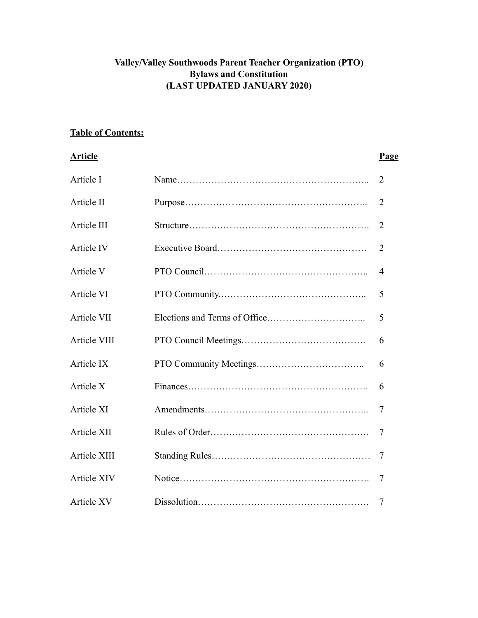# **Valley/Valley Southwoods Parent Teacher Organization (PTO) Bylaws and Constitution (LAST UPDATED JANUARY 2020)**

## **Table of Contents:**

#### **Article Page**

| Article I          | $\overline{2}$ |
|--------------------|----------------|
| Article II         | 2              |
| Article III        | $\overline{2}$ |
| Article IV         | $\overline{2}$ |
| Article V          | $\overline{4}$ |
| Article VI         | 5              |
| <b>Article VII</b> | 5              |
| Article VIII       | 6              |
| Article IX         | 6              |
| Article X          | 6              |
| Article XI         | 7              |
| Article XII        | $\overline{7}$ |
| Article XIII       | 7              |
| <b>Article XIV</b> | 7              |
| <b>Article XV</b>  | 7              |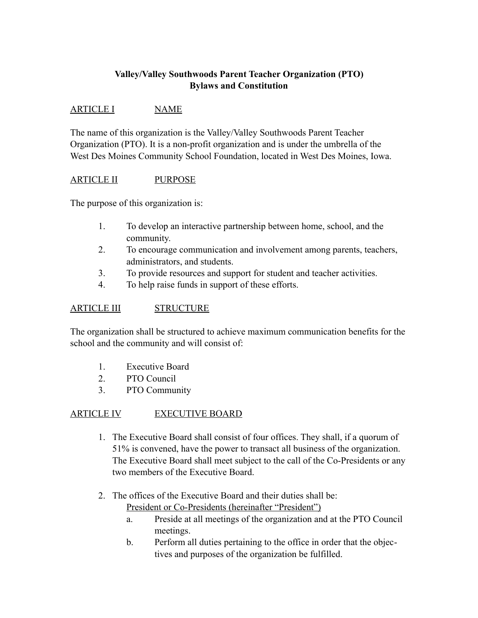# **Valley/Valley Southwoods Parent Teacher Organization (PTO) Bylaws and Constitution**

## ARTICLE I NAME

The name of this organization is the Valley/Valley Southwoods Parent Teacher Organization (PTO). It is a non-profit organization and is under the umbrella of the West Des Moines Community School Foundation, located in West Des Moines, Iowa.

### ARTICLE II PURPOSE

The purpose of this organization is:

- 1. To develop an interactive partnership between home, school, and the community.
- 2. To encourage communication and involvement among parents, teachers, administrators, and students.
- 3. To provide resources and support for student and teacher activities.
- 4. To help raise funds in support of these efforts.

## ARTICLE III STRUCTURE

The organization shall be structured to achieve maximum communication benefits for the school and the community and will consist of:

- 1. Executive Board
- 2. PTO Council
- 3. PTO Community

# ARTICLE IV EXECUTIVE BOARD

- 1. The Executive Board shall consist of four offices. They shall, if a quorum of 51% is convened, have the power to transact all business of the organization. The Executive Board shall meet subject to the call of the Co-Presidents or any two members of the Executive Board.
- 2. The offices of the Executive Board and their duties shall be: President or Co-Presidents (hereinafter "President")
	- a. Preside at all meetings of the organization and at the PTO Council meetings.
	- b. Perform all duties pertaining to the office in order that the objectives and purposes of the organization be fulfilled.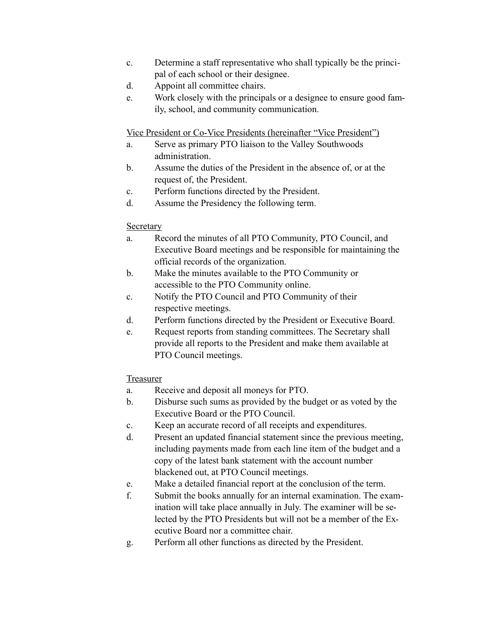- c. Determine a staff representative who shall typically be the principal of each school or their designee.
- d. Appoint all committee chairs.
- e. Work closely with the principals or a designee to ensure good family, school, and community communication.

Vice President or Co-Vice Presidents (hereinafter "Vice President")

- a. Serve as primary PTO liaison to the Valley Southwoods administration.
- b. Assume the duties of the President in the absence of, or at the request of, the President.
- c. Perform functions directed by the President.
- d. Assume the Presidency the following term.

### **Secretary**

- a. Record the minutes of all PTO Community, PTO Council, and Executive Board meetings and be responsible for maintaining the official records of the organization.
- b. Make the minutes available to the PTO Community or accessible to the PTO Community online.
- c. Notify the PTO Council and PTO Community of their respective meetings.
- d. Perform functions directed by the President or Executive Board.
- e. Request reports from standing committees. The Secretary shall provide all reports to the President and make them available at PTO Council meetings.

### Treasurer

- a. Receive and deposit all moneys for PTO.
- b. Disburse such sums as provided by the budget or as voted by the Executive Board or the PTO Council.
- c. Keep an accurate record of all receipts and expenditures.
- d. Present an updated financial statement since the previous meeting, including payments made from each line item of the budget and a copy of the latest bank statement with the account number blackened out, at PTO Council meetings.
- e. Make a detailed financial report at the conclusion of the term.
- f. Submit the books annually for an internal examination. The examination will take place annually in July. The examiner will be selected by the PTO Presidents but will not be a member of the Executive Board nor a committee chair.
- g. Perform all other functions as directed by the President.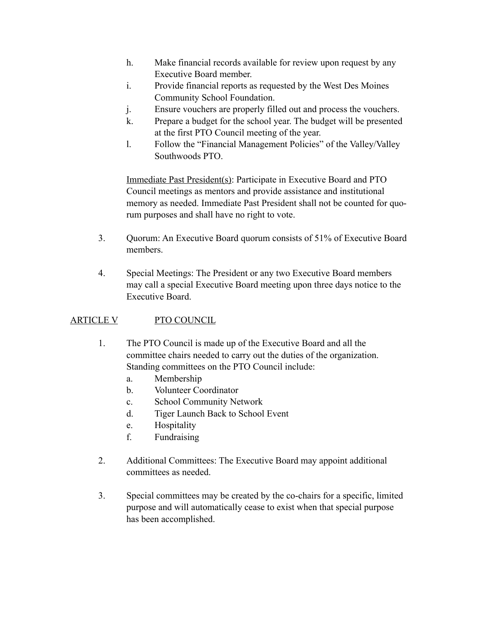- h. Make financial records available for review upon request by any Executive Board member.
- i. Provide financial reports as requested by the West Des Moines Community School Foundation.
- j. Ensure vouchers are properly filled out and process the vouchers.
- k. Prepare a budget for the school year. The budget will be presented at the first PTO Council meeting of the year.
- l. Follow the "Financial Management Policies" of the Valley/Valley Southwoods PTO.

Immediate Past President(s): Participate in Executive Board and PTO Council meetings as mentors and provide assistance and institutional memory as needed. Immediate Past President shall not be counted for quorum purposes and shall have no right to vote.

- 3. Quorum: An Executive Board quorum consists of 51% of Executive Board members.
- 4. Special Meetings: The President or any two Executive Board members may call a special Executive Board meeting upon three days notice to the Executive Board.

# ARTICLE V PTO COUNCIL

- 1. The PTO Council is made up of the Executive Board and all the committee chairs needed to carry out the duties of the organization. Standing committees on the PTO Council include:
	- a. Membership
	- b. Volunteer Coordinator
	- c. School Community Network
	- d. Tiger Launch Back to School Event
	- e. Hospitality
	- f. Fundraising
- 2. Additional Committees: The Executive Board may appoint additional committees as needed.
- 3. Special committees may be created by the co-chairs for a specific, limited purpose and will automatically cease to exist when that special purpose has been accomplished.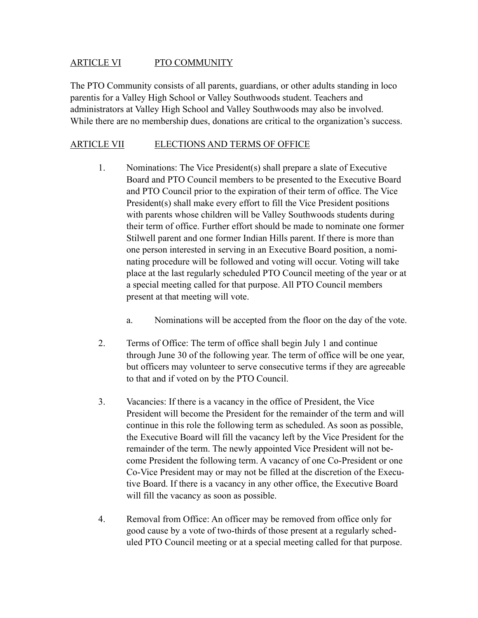### ARTICLE VI PTO COMMUNITY

The PTO Community consists of all parents, guardians, or other adults standing in loco parentis for a Valley High School or Valley Southwoods student. Teachers and administrators at Valley High School and Valley Southwoods may also be involved. While there are no membership dues, donations are critical to the organization's success.

## ARTICLE VII ELECTIONS AND TERMS OF OFFICE

- 1. Nominations: The Vice President(s) shall prepare a slate of Executive Board and PTO Council members to be presented to the Executive Board and PTO Council prior to the expiration of their term of office. The Vice President(s) shall make every effort to fill the Vice President positions with parents whose children will be Valley Southwoods students during their term of office. Further effort should be made to nominate one former Stilwell parent and one former Indian Hills parent. If there is more than one person interested in serving in an Executive Board position, a nominating procedure will be followed and voting will occur. Voting will take place at the last regularly scheduled PTO Council meeting of the year or at a special meeting called for that purpose. All PTO Council members present at that meeting will vote.
	- a. Nominations will be accepted from the floor on the day of the vote.
- 2. Terms of Office: The term of office shall begin July 1 and continue through June 30 of the following year. The term of office will be one year, but officers may volunteer to serve consecutive terms if they are agreeable to that and if voted on by the PTO Council.
- 3. Vacancies: If there is a vacancy in the office of President, the Vice President will become the President for the remainder of the term and will continue in this role the following term as scheduled. As soon as possible, the Executive Board will fill the vacancy left by the Vice President for the remainder of the term. The newly appointed Vice President will not become President the following term. A vacancy of one Co-President or one Co-Vice President may or may not be filled at the discretion of the Executive Board. If there is a vacancy in any other office, the Executive Board will fill the vacancy as soon as possible.
- 4. Removal from Office: An officer may be removed from office only for good cause by a vote of two-thirds of those present at a regularly scheduled PTO Council meeting or at a special meeting called for that purpose.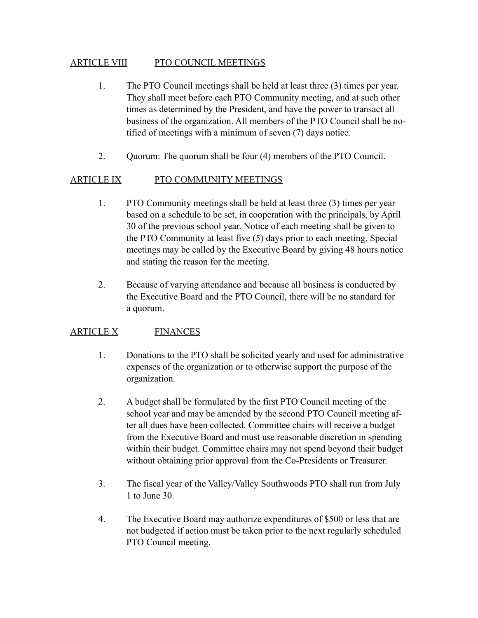### ARTICLE VIII PTO COUNCIL MEETINGS

- 1. The PTO Council meetings shall be held at least three (3) times per year. They shall meet before each PTO Community meeting, and at such other times as determined by the President, and have the power to transact all business of the organization. All members of the PTO Council shall be notified of meetings with a minimum of seven (7) days notice.
- 2. Quorum: The quorum shall be four (4) members of the PTO Council.

### ARTICLE IX PTO COMMUNITY MEETINGS

- 1. PTO Community meetings shall be held at least three (3) times per year based on a schedule to be set, in cooperation with the principals, by April 30 of the previous school year. Notice of each meeting shall be given to the PTO Community at least five (5) days prior to each meeting. Special meetings may be called by the Executive Board by giving 48 hours notice and stating the reason for the meeting.
- 2. Because of varying attendance and because all business is conducted by the Executive Board and the PTO Council, there will be no standard for a quorum.

### ARTICLE X FINANCES

- 1. Donations to the PTO shall be solicited yearly and used for administrative expenses of the organization or to otherwise support the purpose of the organization.
- 2. A budget shall be formulated by the first PTO Council meeting of the school year and may be amended by the second PTO Council meeting after all dues have been collected. Committee chairs will receive a budget from the Executive Board and must use reasonable discretion in spending within their budget. Committee chairs may not spend beyond their budget without obtaining prior approval from the Co-Presidents or Treasurer.
- 3. The fiscal year of the Valley/Valley Southwoods PTO shall run from July 1 to June 30.
- 4. The Executive Board may authorize expenditures of \$500 or less that are not budgeted if action must be taken prior to the next regularly scheduled PTO Council meeting.